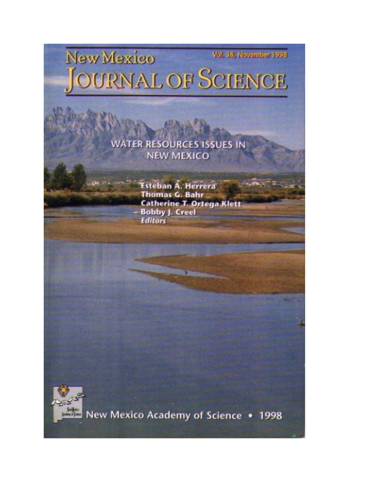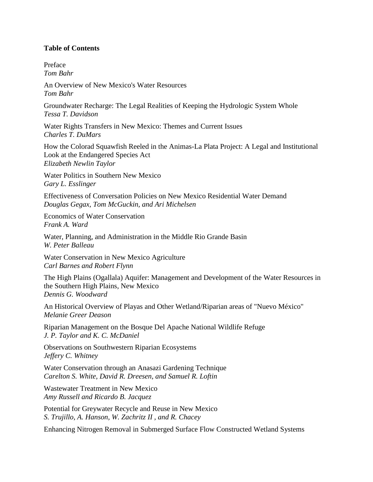## **Table of Contents**

Preface *Tom Bahr*

An Overview of New Mexico's Water Resources *Tom Bahr*

Groundwater Recharge: The Legal Realities of Keeping the Hydrologic System Whole *Tessa T. Davidson*

Water Rights Transfers in New Mexico: Themes and Current Issues *Charles T. DuMars*

How the Colorad Squawfish Reeled in the Animas-La Plata Project: A Legal and Institutional Look at the Endangered Species Act *Elizabeth Newlin Taylor*

Water Politics in Southern New Mexico *Gary L. Esslinger*

Effectiveness of Conversation Policies on New Mexico Residential Water Demand *Douglas Gegax, Tom McGuckin, and Ari Michelsen*

Economics of Water Conservation *Frank A. Ward*

Water, Planning, and Administration in the Middle Rio Grande Basin *W. Peter Balleau*

Water Conservation in New Mexico Agriculture *Carl Barnes and Robert Flynn*

The High Plains (Ogallala) Aquifer: Management and Development of the Water Resources in the Southern High Plains, New Mexico *Dennis G. Woodward*

An Historical Overview of Playas and Other Wetland/Riparian areas of "Nuevo México" *Melanie Greer Deason*

Riparian Management on the Bosque Del Apache National Wildlife Refuge *J. P. Taylor and K. C. McDaniel*

Observations on Southwestern Riparian Ecosystems *Jeffery C. Whitney*

Water Conservation through an Anasazi Gardening Technique *Carelton S. White, David R. Dreesen, and Samuel R. Loftin*

Wastewater Treatment in New Mexico *Amy Russell and Ricardo B. Jacquez*

Potential for Greywater Recycle and Reuse in New Mexico *S. Trujillo, A. Hanson, W. Zachritz II , and R. Chacey*

Enhancing Nitrogen Removal in Submerged Surface Flow Constructed Wetland Systems